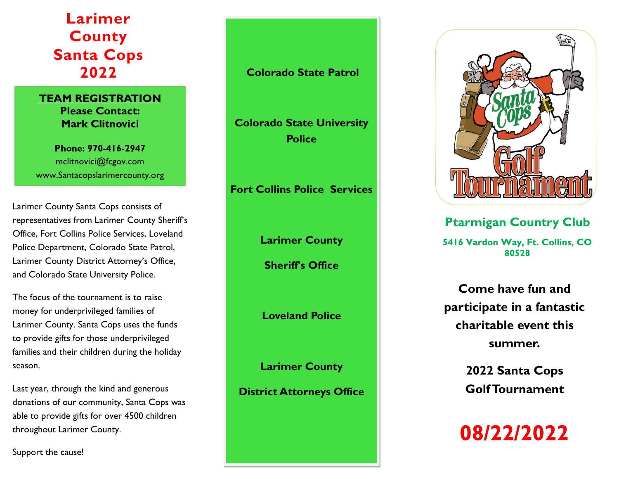**Larimer County Santa Cops 2022**

## **TEAM REGISTRATION Please Contact: Mark Clitnovici**

Phone: 970-416-2947 mclitnovici@fcgov.com www.Santacopslarimercounty.org

Larimer County Santa Cops consists of representatives from Larimer County Sheriff's Office, Fort Collins Police Services, Loveland Police Department, Colorado State Patrol, Larimer County District Attorney's Office, and Colorado State University Police.

The focus of the tournament is to raise money for underprivileged families of Larimer County. Santa Cops uses the funds to provide gifts for those underprivileged families and their children during the holiday season.

Last year, through the kind and generous donations of our community, Santa Cops was able to provide gifts for over 4500 children throughout Larimer County.

Support the cause!

## **Colorado State Patrol**

**Colorado State University Police** 

**Fort Collins Police Services** 

**Larimer County** 

**Sheriff's Office** 

**Loveland Police** 

**Larimer County** 

**District Attorneys Office**

## **Ptarmigan Country Club**

5416 Vardon Way, Ft. Collins, CO 80528

**Come have fun and participate in a fantastic charitable event this summer.**

> **2022 Santa Cops Golf Tournament**

08/22/2022